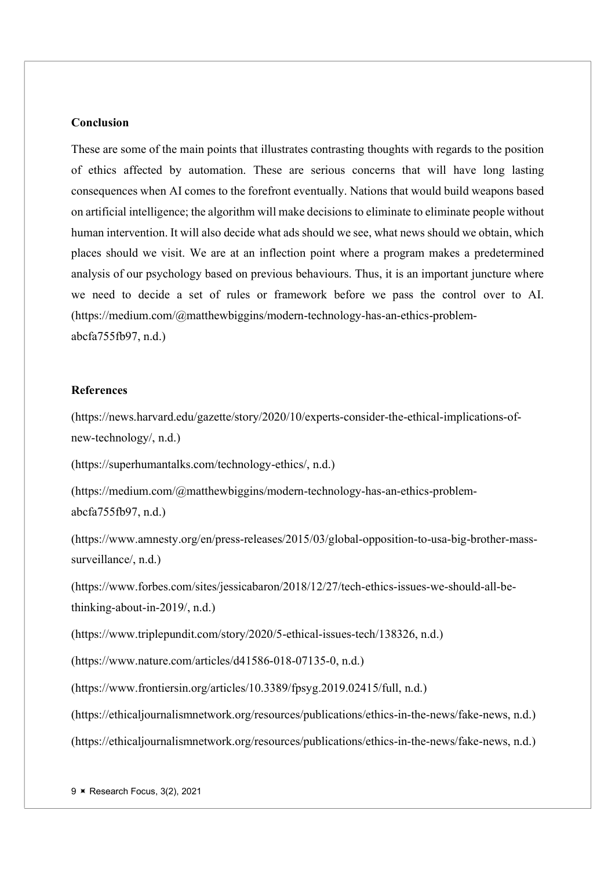# Conclusion

These are some of the main points that illustrates contrasting thoughts with regards to the position of ethics affected by automation. These are serious concerns that will have long lasting consequences when AI comes to the forefront eventually. Nations that would build weapons based on artificial intelligence; the algorithm will make decisions to eliminate to eliminate people without human intervention. It will also decide what ads should we see, what news should we obtain, which places should we visit. We are at an inflection point where a program makes a predetermined analysis of our psychology based on previous behaviours. Thus, it is an important juncture where we need to decide a set of rules or framework before we pass the control over to AI. (https://medium.com/@matthewbiggins/modern-technology-has-an-ethics-problemabcfa755fb97, n.d.)

## References

(https://news.harvard.edu/gazette/story/2020/10/experts-consider-the-ethical-implications-ofnew-technology/, n.d.)

(https://superhumantalks.com/technology-ethics/, n.d.)

(https://medium.com/@matthewbiggins/modern-technology-has-an-ethics-problemabcfa755fb97, n.d.)

(https://www.amnesty.org/en/press-releases/2015/03/global-opposition-to-usa-big-brother-masssurveillance/, n.d.)

(https://www.forbes.com/sites/jessicabaron/2018/12/27/tech-ethics-issues-we-should-all-bethinking-about-in-2019/, n.d.)

(https://www.triplepundit.com/story/2020/5-ethical-issues-tech/138326, n.d.)

(https://www.nature.com/articles/d41586-018-07135-0, n.d.)

(https://www.frontiersin.org/articles/10.3389/fpsyg.2019.02415/full, n.d.)

(https://ethicaljournalismnetwork.org/resources/publications/ethics-in-the-news/fake-news, n.d.)

(https://ethicaljournalismnetwork.org/resources/publications/ethics-in-the-news/fake-news, n.d.)

9 × Research Focus, 3(2), 2021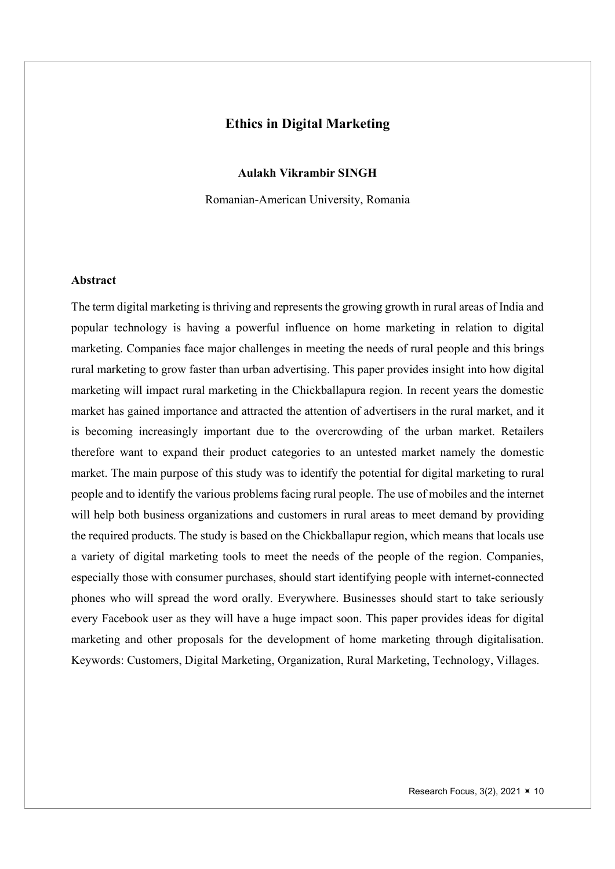# Ethics in Digital Marketing

Aulakh Vikrambir SINGH

Romanian-American University, Romania

## Abstract

The term digital marketing is thriving and represents the growing growth in rural areas of India and popular technology is having a powerful influence on home marketing in relation to digital marketing. Companies face major challenges in meeting the needs of rural people and this brings rural marketing to grow faster than urban advertising. This paper provides insight into how digital marketing will impact rural marketing in the Chickballapura region. In recent years the domestic market has gained importance and attracted the attention of advertisers in the rural market, and it is becoming increasingly important due to the overcrowding of the urban market. Retailers therefore want to expand their product categories to an untested market namely the domestic market. The main purpose of this study was to identify the potential for digital marketing to rural people and to identify the various problems facing rural people. The use of mobiles and the internet will help both business organizations and customers in rural areas to meet demand by providing the required products. The study is based on the Chickballapur region, which means that locals use a variety of digital marketing tools to meet the needs of the people of the region. Companies, especially those with consumer purchases, should start identifying people with internet-connected phones who will spread the word orally. Everywhere. Businesses should start to take seriously every Facebook user as they will have a huge impact soon. This paper provides ideas for digital marketing and other proposals for the development of home marketing through digitalisation. Keywords: Customers, Digital Marketing, Organization, Rural Marketing, Technology, Villages.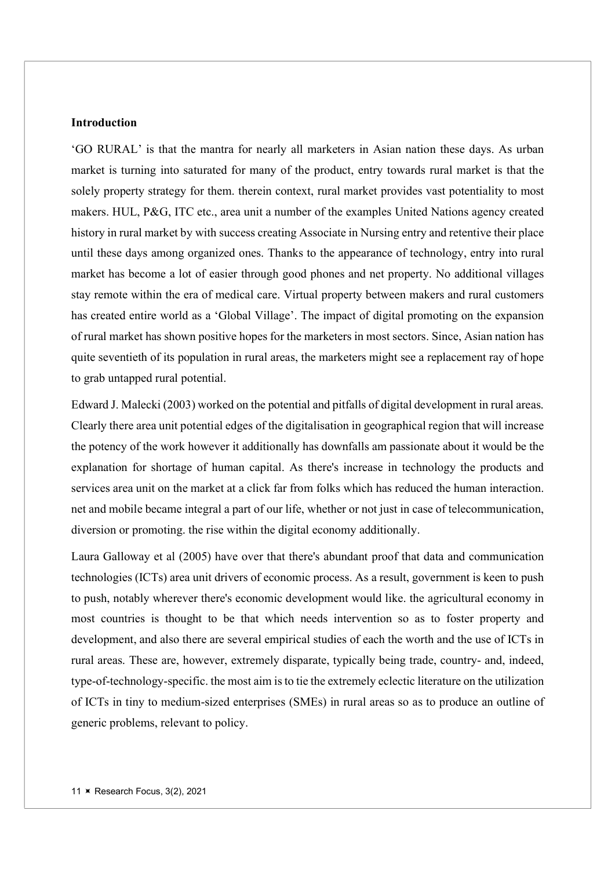## **Introduction**

'GO RURAL' is that the mantra for nearly all marketers in Asian nation these days. As urban market is turning into saturated for many of the product, entry towards rural market is that the solely property strategy for them. therein context, rural market provides vast potentiality to most makers. HUL, P&G, ITC etc., area unit a number of the examples United Nations agency created history in rural market by with success creating Associate in Nursing entry and retentive their place until these days among organized ones. Thanks to the appearance of technology, entry into rural market has become a lot of easier through good phones and net property. No additional villages stay remote within the era of medical care. Virtual property between makers and rural customers has created entire world as a 'Global Village'. The impact of digital promoting on the expansion of rural market has shown positive hopes for the marketers in most sectors. Since, Asian nation has quite seventieth of its population in rural areas, the marketers might see a replacement ray of hope to grab untapped rural potential.

Edward J. Malecki (2003) worked on the potential and pitfalls of digital development in rural areas. Clearly there area unit potential edges of the digitalisation in geographical region that will increase the potency of the work however it additionally has downfalls am passionate about it would be the explanation for shortage of human capital. As there's increase in technology the products and services area unit on the market at a click far from folks which has reduced the human interaction. net and mobile became integral a part of our life, whether or not just in case of telecommunication, diversion or promoting. the rise within the digital economy additionally.

Laura Galloway et al (2005) have over that there's abundant proof that data and communication technologies (ICTs) area unit drivers of economic process. As a result, government is keen to push to push, notably wherever there's economic development would like. the agricultural economy in most countries is thought to be that which needs intervention so as to foster property and development, and also there are several empirical studies of each the worth and the use of ICTs in rural areas. These are, however, extremely disparate, typically being trade, country‐ and, indeed, type‐of‐technology‐specific. the most aim is to tie the extremely eclectic literature on the utilization of ICTs in tiny to medium‐sized enterprises (SMEs) in rural areas so as to produce an outline of generic problems, relevant to policy.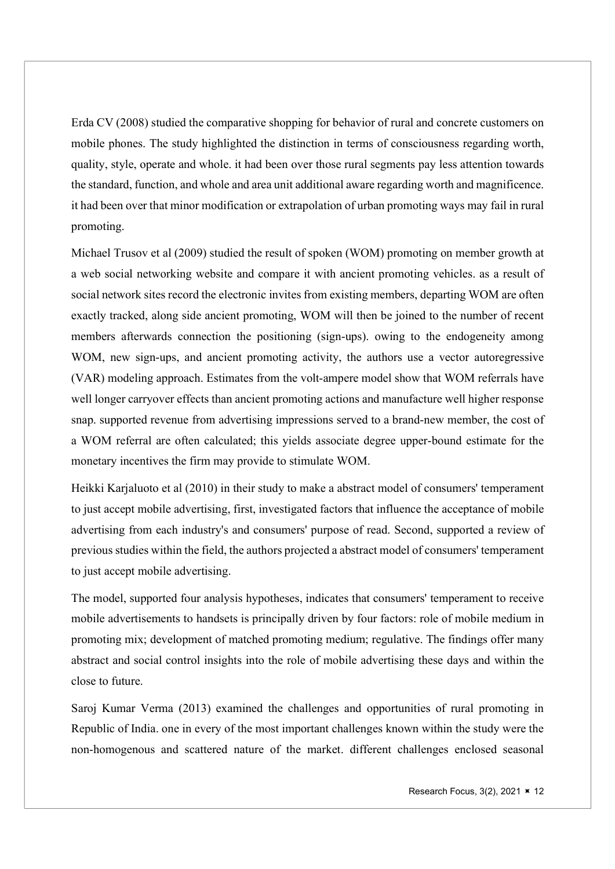Erda CV (2008) studied the comparative shopping for behavior of rural and concrete customers on mobile phones. The study highlighted the distinction in terms of consciousness regarding worth, quality, style, operate and whole. it had been over those rural segments pay less attention towards the standard, function, and whole and area unit additional aware regarding worth and magnificence. it had been over that minor modification or extrapolation of urban promoting ways may fail in rural promoting.

Michael Trusov et al (2009) studied the result of spoken (WOM) promoting on member growth at a web social networking website and compare it with ancient promoting vehicles. as a result of social network sites record the electronic invites from existing members, departing WOM are often exactly tracked, along side ancient promoting, WOM will then be joined to the number of recent members afterwards connection the positioning (sign-ups). owing to the endogeneity among WOM, new sign-ups, and ancient promoting activity, the authors use a vector autoregressive (VAR) modeling approach. Estimates from the volt-ampere model show that WOM referrals have well longer carryover effects than ancient promoting actions and manufacture well higher response snap. supported revenue from advertising impressions served to a brand-new member, the cost of a WOM referral are often calculated; this yields associate degree upper-bound estimate for the monetary incentives the firm may provide to stimulate WOM.

Heikki Karjaluoto et al (2010) in their study to make a abstract model of consumers' temperament to just accept mobile advertising, first, investigated factors that influence the acceptance of mobile advertising from each industry's and consumers' purpose of read. Second, supported a review of previous studies within the field, the authors projected a abstract model of consumers' temperament to just accept mobile advertising.

The model, supported four analysis hypotheses, indicates that consumers' temperament to receive mobile advertisements to handsets is principally driven by four factors: role of mobile medium in promoting mix; development of matched promoting medium; regulative. The findings offer many abstract and social control insights into the role of mobile advertising these days and within the close to future.

Saroj Kumar Verma (2013) examined the challenges and opportunities of rural promoting in Republic of India. one in every of the most important challenges known within the study were the non-homogenous and scattered nature of the market. different challenges enclosed seasonal